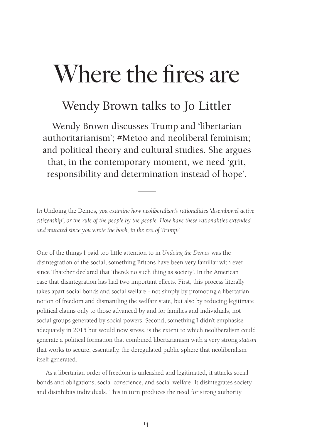## Wendy Brown talks to Jo Littler

Wendy Brown discusses Trump and 'libertarian authoritarianism'; #Metoo and neoliberal feminism; and political theory and cultural studies. She argues that, in the contemporary moment, we need 'grit, responsibility and determination instead of hope'.

I*n* Undoing the Demos*, you examine how neoliberalism's rationalities 'disembowel active citizenship', or the rule of the people by the people. How have these rationalities extended and mutated since you wrote the book, in the era of Trump?* 

One of the things I paid too little attention to in *Undoing the Demos* was the disintegration of the social, something Britons have been very familiar with ever since Thatcher declared that 'there's no such thing as society'. In the American case that disintegration has had two important effects. First, this process literally takes apart social bonds and social welfare - not simply by promoting a libertarian notion of freedom and dismantling the welfare state, but also by reducing legitimate political claims only to those advanced by and for families and individuals, not social groups generated by social powers. Second, something I didn't emphasise adequately in 2015 but would now stress, is the extent to which neoliberalism could generate a political formation that combined libertarianism with a very strong *statism* that works to secure, essentially, the deregulated public sphere that neoliberalism itself generated.

As a libertarian order of freedom is unleashed and legitimated, it attacks social bonds and obligations, social conscience, and social welfare. It disintegrates society and disinhibits individuals. This in turn produces the need for strong authority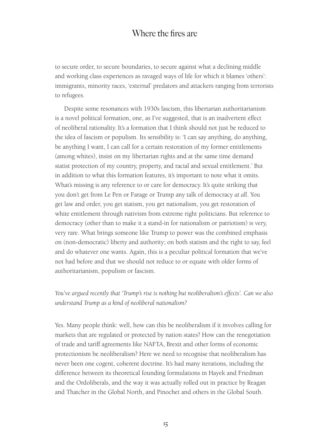to secure order, to secure boundaries, to secure against what a declining middle and working class experiences as ravaged ways of life for which it blames 'others': immigrants, minority races, 'external' predators and attackers ranging from terrorists to refugees.

Despite some resonances with 1930s fascism, this libertarian authoritarianism is a novel political formation, one, as I've suggested, that is an inadvertent effect of neoliberal rationality. It's a formation that I think should not just be reduced to the idea of fascism or populism. Its sensibility is: 'I can say anything, do anything, be anything I want, I can call for a certain restoration of my former entitlements (among whites), insist on my libertarian rights and at the same time demand statist protection of my country, property, and racial and sexual entitlement.' But in addition to what this formation features, it's important to note what it omits. What's missing is any reference to or care for democracy. It's quite striking that you don't get from Le Pen or Farage or Trump any talk of democracy *at all*. You get law and order, you get statism, you get nationalism, you get restoration of white entitlement through nativism from extreme right politicians. But reference to democracy (other than to make it a stand-in for nationalism or patriotism) is very, very rare. What brings someone like Trump to power was the combined emphasis on (non-democratic) liberty and authority; on both statism and the right to say, feel and do whatever one wants. Again, this is a peculiar political formation that we've not had before and that we should not reduce to or equate with older forms of authoritarianism, populism or fascism.

*You've argued recently that 'Trump's rise is nothing but neoliberalism's effects'. Can we also understand Trump as a kind of neoliberal nationalism?* 

Yes. Many people think: well, how can this be neoliberalism if it involves calling for markets that are regulated or protected by nation states? How can the renegotiation of trade and tariff agreements like NAFTA, Brexit and other forms of economic protectionism be neoliberalism? Here we need to recognise that neoliberalism has never been one cogent, coherent doctrine. It's had many iterations, including the difference between its theoretical founding formulations in Hayek and Friedman and the Ordoliberals, and the way it was actually rolled out in practice by Reagan and Thatcher in the Global North, and Pinochet and others in the Global South.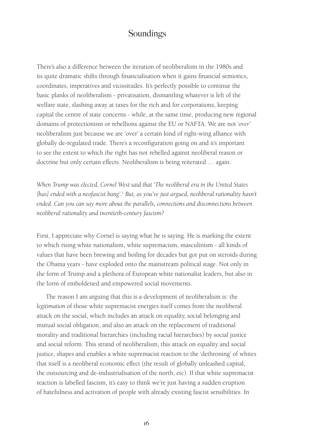There's also a difference between the iteration of neoliberalism in the 1980s and its quite dramatic shifts through financialisation when it gains financial semiotics, coordinates, imperatives and vicissitudes. It's perfectly possible to continue the basic planks of neoliberalism - privatisation, dismantling whatever is left of the welfare state, slashing away at taxes for the rich and for corporations, keeping capital the centre of state concerns - while, at the same time, producing new regional domains of protectionism or rebellions against the EU or NAFTA. We are not '*over'* neoliberalism just because we are 'over' a certain kind of right-wing alliance with globally de-regulated trade. There's a reconfiguration going on and it's important to see the extent to which the right has not rebelled against neoliberal reason or doctrine but only certain effects. Neoliberalism is being reiterated … again.

*When Trump was elected, Cornel West said that 'The neoliberal era in the United States*  [has] ended with a neofascist bang'.<sup>1</sup> But, as you've just argued, neoliberal rationality hasn't *ended. Can you can say more about the parallels, connections and disconnections between neoliberal rationality and twentieth-century fascism?*

First, I appreciate why Cornel is saying what he is saying. He is marking the extent to which rising white nationalism, white supremacism, masculinism - all kinds of values that have been brewing and boiling for decades but got put on steroids during the Obama years - have exploded onto the mainstream political stage. Not only in the form of Trump and a plethora of European white nationalist leaders, but also in the form of emboldened and empowered social movements.

The reason I am arguing that this is a development of neoliberalism is: the *legitimation* of those white supremacist energies itself comes from the neoliberal attack on the social, which includes an attack on equality, social belonging and mutual social obligation, and also an attack on the replacement of traditional morality and traditional hierarchies (including racial hierarchies) by social justice and social reform. This strand of neoliberalism, this attack on equality and social justice, shapes and enables a white supremacist reaction to the 'dethroning' of whites that itself is a neoliberal economic effect (the result of globally unleashed capital, the outsourcing and de-industrialisation of the north, etc). If that white supremacist reaction is labelled fascism, it's easy to think we're just having a sudden eruption of hatefulness and activation of people with already existing fascist sensibilities. In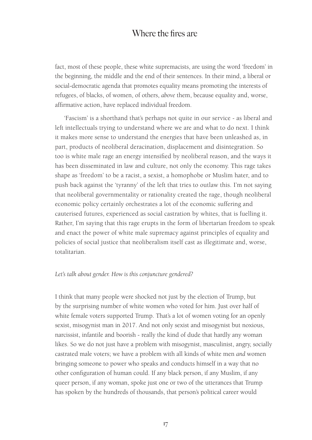fact, most of these people, these white supremacists, are using the word 'freedom' in the beginning, the middle and the end of their sentences. In their mind, a liberal or social-democratic agenda that promotes equality means promoting the interests of refugees, of blacks, of women, of others, *above* them, because equality and, worse, affirmative action, have replaced individual freedom.

'Fascism' is a shorthand that's perhaps not quite in our service - as liberal and left intellectuals trying to understand where we are and what to do next. I think it makes more sense to understand the energies that have been unleashed as, in part, products of neoliberal deracination, displacement and disintegration. So too is white male rage an energy intensified by neoliberal reason, and the ways it has been disseminated in law and culture, not only the economy. This rage takes shape as 'freedom' to be a racist, a sexist, a homophobe or Muslim hater, and to push back against the 'tyranny' of the left that tries to outlaw this. I'm not saying that neoliberal governmentality or rationality created the rage, though neoliberal economic policy certainly orchestrates a lot of the economic suffering and cauterised futures, experienced as social castration by whites, that is fuelling it. Rather, I'm saying that this rage erupts in the form of libertarian freedom to speak and enact the power of white male supremacy against principles of equality and policies of social justice that neoliberalism itself cast as illegitimate and, worse, totalitarian.

#### *Let's talk about gender. How is this conjuncture gendered?*

I think that many people were shocked not just by the election of Trump, but by the surprising number of white women who voted for him. Just over half of white female voters supported Trump. That's a lot of women voting for an openly sexist, misogynist man in 2017. And not only sexist and misogynist but noxious, narcissist, infantile and boorish - really the kind of dude that hardly any woman likes. So we do not just have a problem with misogynist, masculinist, angry, socially castrated male voters; we have a problem with all kinds of white men *and* women bringing someone to power who speaks and conducts himself in a way that no other configuration of human could. If any black person, if any Muslim, if any queer person, if any woman, spoke just one or two of the utterances that Trump has spoken by the hundreds of thousands, that person's political career would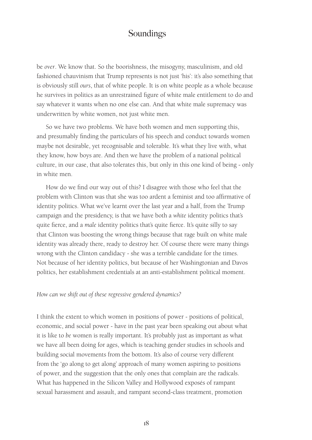be *over*. We know that. So the boorishness, the misogyny, masculinism, and old fashioned chauvinism that Trump represents is not just 'his': it's also something that is obviously still *ours*, that of white people. It is on white people as a whole because he survives in politics as an unrestrained figure of white male entitlement to do and say whatever it wants when no one else can. And that white male supremacy was underwritten by white women, not just white men.

So we have two problems. We have both women and men supporting this, and presumably finding the particulars of his speech and conduct towards women maybe not desirable, yet recognisable and tolerable. It's what they live with, what they know, how boys are. And then we have the problem of a national political culture, in our case, that also tolerates this, but only in this one kind of being - only in white men.

How do we find our way out of this? I disagree with those who feel that the problem with Clinton was that she was too ardent a feminist and too affirmative of identity politics. What we've learnt over the last year and a half, from the Trump campaign and the presidency, is that we have both a *white* identity politics that's quite fierce, and a *male* identity politics that's quite fierce. It's quite silly to say that Clinton was boosting the wrong things because that rage built on white male identity was already there, ready to destroy her. Of course there were many things wrong with the Clinton candidacy - she was a terrible candidate for the times. Not because of her identity politics, but because of her Washingtonian and Davos politics, her establishment credentials at an anti-establishment political moment.

#### *How can we shift out of these regressive gendered dynamics?*

I think the extent to which women in positions of power - positions of political, economic, and social power - have in the past year been speaking out about what it is like to *be* women is really important. It's probably just as important as what we have all been doing for ages, which is teaching gender studies in schools and building social movements from the bottom. It's also of course very different from the 'go along to get along' approach of many women aspiring to positions of power, and the suggestion that the only ones that complain are the radicals. What has happened in the Silicon Valley and Hollywood exposés of rampant sexual harassment and assault, and rampant second-class treatment, promotion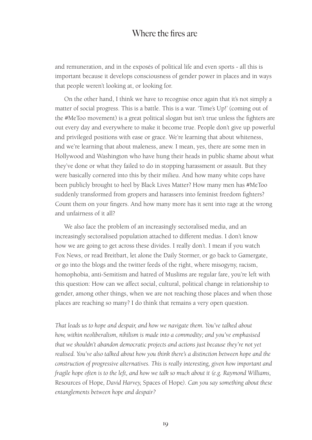and remuneration, and in the exposés of political life and even sports - all this is important because it develops consciousness of gender power in places and in ways that people weren't looking at, or looking for.

On the other hand, I think we have to recognise once again that it's not simply a matter of social progress. This is a battle. This is a war. 'Time's Up!' (coming out of the #MeToo movement) is a great political slogan but isn't true unless the fighters are out every day and everywhere to make it become true. People don't give up powerful and privileged positions with ease or grace. We're learning that about whiteness, and we're learning that about maleness, anew. I mean, yes, there are some men in Hollywood and Washington who have hung their heads in public shame about what they've done or what they failed to do in stopping harassment or assault. But they were basically cornered into this by their milieu. And how many white cops have been publicly brought to heel by Black Lives Matter? How many men has #MeToo suddenly transformed from gropers and harassers into feminist freedom fighters? Count them on your fingers. And how many more has it sent into rage at the wrong and unfairness of it all?

We also face the problem of an increasingly sectoralised media, and an increasingly sectoralised population attached to different medias. I don't know how we are going to get across these divides. I really don't. I mean if you watch Fox News, or read Breitbart, let alone the Daily Stormer, or go back to Gamergate, or go into the blogs and the twitter feeds of the right, where misogyny, racism, homophobia, anti-Semitism and hatred of Muslims are regular fare, you're left with this question: How can we affect social, cultural, political change in relationship to gender, among other things, when we are not reaching those places and when those places are reaching so many? I do think that remains a very open question.

*That leads us to hope and despair, and how we navigate them. You've talked about how, within neoliberalism, nihilism is made into a commodity; and you've emphasised that we shouldn't abandon democratic projects and actions just because they're not yet realised. You've also talked about how you think there's a distinction between hope and the construction of progressive alternatives. This is really interesting, given how important and fragile hope often is to the left, and how we talk so much about it (e.g. Raymond Williams,*  Resources of Hope*, David Harvey,* Spaces of Hope*). Can you say something about these entanglements between hope and despair?*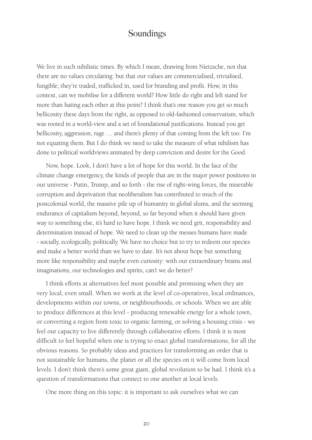We live in such nihilistic times. By which I mean, drawing from Nietzsche, not that there are no values circulating: but that our values are commercialised, trivialised, fungible; they're traded, trafficked in, used for branding and profit. How, in this context, can we mobilise for a different world? How little do right and left stand for more than hating each other at this point? I think that's one reason you get so much bellicosity these days from the right, as opposed to old-fashioned conservatism, which was rooted in a world-view and a set of foundational justifications. Instead you get bellicosity, aggression, rage … and there's plenty of that coming from the left too. I'm not equating them. But I do think we need to take the measure of what nihilism has done to political worldviews animated by deep conviction and desire for the Good.

Now, hope. Look, I don't have a lot of hope for this world. In the face of the climate change emergency, the kinds of people that are in the major power positions in our universe - Putin, Trump, and so forth - the rise of right-wing forces, the miserable corruption and deprivation that neoliberalism has contributed to much of the postcolonial world, the massive pile up of humanity in global slums, and the seeming endurance of capitalism beyond, beyond, so far beyond when it should have given way to something else, it's hard to have hope. I think we need grit, responsibility and determination instead of hope. We need to clean up the messes humans have made - socially, ecologically, politically. We have no choice but to try to redeem our species and make a better world than we have to date. It's not about hope but something more like responsibility and maybe even curiosity: with our extraordinary brains and imaginations, our technologies and spirits, can't we do better?

I think efforts at alternatives feel most possible and promising when they are very local, even small. When we work at the level of co-operatives, local ordinances, developments within our towns, or neighbourhoods, or schools. When we are able to produce differences at this level - producing renewable energy for a whole town, or converting a region from toxic to organic farming, or solving a housing crisis - we feel our capacity to live differently through collaborative efforts. I think it is most difficult to feel hopeful when one is trying to enact global transformations, for all the obvious reasons. So probably ideas and practices for transforming an order that is not sustainable for humans, the planet or all the species on it will come from local levels. I don't think there's some great giant, global revolution to be had. I think it's a question of transformations that connect to one another at local levels.

One more thing on this topic: it is important to ask ourselves what we can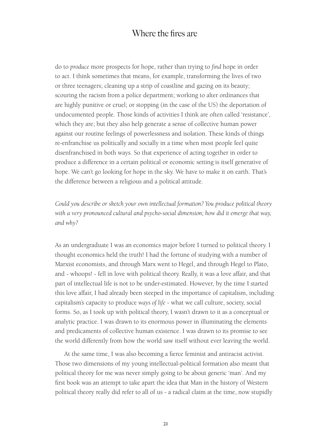do to *produce* more prospects for hope, rather than trying to *find* hope in order to act. I think sometimes that means, for example, transforming the lives of two or three teenagers; cleaning up a strip of coastline and gazing on its beauty; scouring the racism from a police department; working to alter ordinances that are highly punitive or cruel; or stopping (in the case of the US) the deportation of undocumented people. Those kinds of activities I think are often called 'resistance', which they are; but they also help generate a sense of collective human power against our routine feelings of powerlessness and isolation. These kinds of things re-enfranchise us politically and socially in a time when most people feel quite disenfranchised in both ways. So that experience of acting together in order to produce a difference in a certain political or economic setting is itself generative of hope. We can't go looking for hope in the sky. We have to make it on earth. That's the difference between a religious and a political attitude.

*Could you describe or sketch your own intellectual formation? You produce political theory with a very pronounced cultural and psycho-social dimension; how did it emerge that way, and why?*

As an undergraduate I was an economics major before I turned to political theory. I thought economics held the truth! I had the fortune of studying with a number of Marxist economists, and through Marx went to Hegel, and through Hegel to Plato, and - whoops! - fell in love with political theory. Really, it was a love affair, and that part of intellectual life is not to be under-estimated. However, by the time I started this love affair, I had already been steeped in the importance of capitalism, including capitalism's capacity to produce *ways of life* - what we call culture, society, social forms. So, as I took up with political theory, I wasn't drawn to it as a conceptual or analytic practice. I was drawn to its enormous power in illuminating the elements and predicaments of collective human existence. I was drawn to its promise to see the world differently from how the world saw itself without ever leaving the world.

At the same time, I was also becoming a fierce feminist and antiracist activist. Those two dimensions of my young intellectual-political formation also meant that political theory for me was never simply going to be about generic 'man'. And my first book was an attempt to take apart the idea that Man in the history of Western political theory really did refer to all of us - a radical claim at the time, now stupidly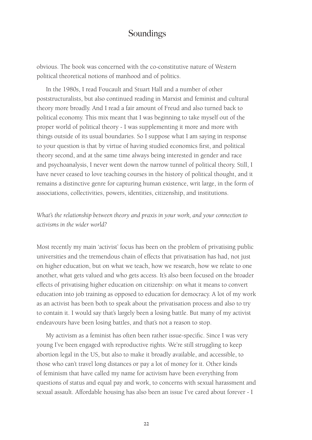obvious. The book was concerned with the co-constitutive nature of Western political theoretical notions of manhood and of politics.

In the 1980s, I read Foucault and Stuart Hall and a number of other poststructuralists, but also continued reading in Marxist and feminist and cultural theory more broadly. And I read a fair amount of Freud and also turned back to political economy. This mix meant that I was beginning to take myself out of the proper world of political theory - I was supplementing it more and more with things outside of its usual boundaries. So I suppose what I am saying in response to your question is that by virtue of having studied economics first, and political theory second, and at the same time always being interested in gender and race and psychoanalysis, I never went down the narrow tunnel of political theory. Still, I have never ceased to love teaching courses in the history of political thought, and it remains a distinctive genre for capturing human existence, writ large, in the form of associations, collectivities, powers, identities, citizenship, and institutions.

*What's the relationship between theory and praxis in your work, and your connection to activisms in the wider world?*

Most recently my main 'activist' focus has been on the problem of privatising public universities and the tremendous chain of effects that privatisation has had, not just on higher education, but on what we teach, how we research, how we relate to one another, what gets valued and who gets access. It's also been focused on the broader effects of privatising higher education on citizenship: on what it means to convert education into job training as opposed to education for democracy. A lot of my work as an activist has been both to speak about the privatisation process and also to try to contain it. I would say that's largely been a losing battle. But many of my activist endeavours have been losing battles, and that's not a reason to stop.

My activism as a feminist has often been rather issue-specific. Since I was very young I've been engaged with reproductive rights. We're still struggling to keep abortion legal in the US, but also to make it broadly available, and accessible, to those who can't travel long distances or pay a lot of money for it. Other kinds of feminism that have called my name for activism have been everything from questions of status and equal pay and work, to concerns with sexual harassment and sexual assault. Affordable housing has also been an issue I've cared about forever - I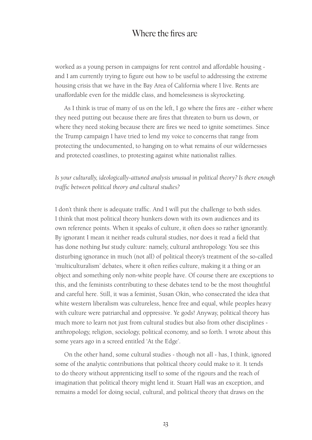worked as a young person in campaigns for rent control and affordable housing and I am currently trying to figure out how to be useful to addressing the extreme housing crisis that we have in the Bay Area of California where I live. Rents are unaffordable even for the middle class, and homelessness is skyrocketing.

As I think is true of many of us on the left, I go where the fires are - either where they need putting out because there are fires that threaten to burn us down, or where they need stoking because there are fires we need to ignite sometimes. Since the Trump campaign I have tried to lend my voice to concerns that range from protecting the undocumented, to hanging on to what remains of our wildernesses and protected coastlines, to protesting against white nationalist rallies.

*Is your culturally, ideologically-attuned analysis unusual in political theory? Is there enough traffic between political theory and cultural studies?*

I don't think there is adequate traffic. And I will put the challenge to both sides. I think that most political theory hunkers down with its own audiences and its own reference points. When it speaks of culture, it often does so rather ignorantly. By ignorant I mean it neither reads cultural studies, nor does it read a field that has done nothing *but* study culture: namely, cultural anthropology. You see this disturbing ignorance in much (not all) of political theory's treatment of the so-called 'multiculturalism' debates, where it often reifies culture, making it a thing or an object and something only non-white people have. Of course there are exceptions to this, and the feminists contributing to these debates tend to be the most thoughtful and careful here. Still, it was a feminist, Susan Okin, who consecrated the idea that white western liberalism was cultureless, hence free and equal, while peoples heavy with culture were patriarchal and oppressive. Ye gods! Anyway, political theory has much more to learn not just from cultural studies but also from other disciplines anthropology, religion, sociology, political economy, and so forth. I wrote about this some years ago in a screed entitled 'At the Edge'.

On the other hand, some cultural studies - though not all - has, I think, ignored some of the analytic contributions that political theory could make to it. It tends to do theory without apprenticing itself to some of the rigours and the reach of imagination that political theory might lend it. Stuart Hall was an exception, and remains a model for doing social, cultural, and political theory that draws on the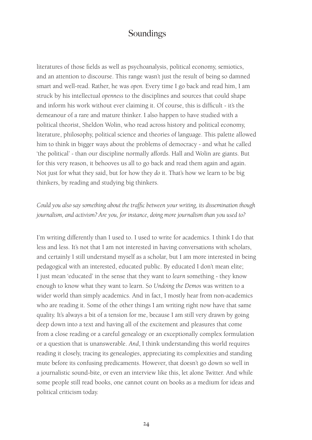literatures of those fields as well as psychoanalysis, political economy, semiotics, and an attention to discourse. This range wasn't just the result of being so damned smart and well-read. Rather, he was *open.* Every time I go back and read him, I am struck by his intellectual *openness* to the disciplines and sources that could shape and inform his work without ever claiming it. Of course, this is difficult - it's the demeanour of a rare and mature thinker. I also happen to have studied with a political theorist, Sheldon Wolin, who read across history and political economy, literature, philosophy, political science and theories of language. This palette allowed him to think in bigger ways about the problems of democracy - and what he called 'the political' - than our discipline normally affords. Hall and Wolin are giants. But for this very reason, it behooves us all to go back and read them again and again. Not just for what they said, but for how they *do* it. That's how we learn to be big thinkers, by reading and studying big thinkers.

#### *Could you also say something about the traffic between your writing, its dissemination though journalism, and activism? Are you, for instance, doing more journalism than you used to?*

I'm writing differently than I used to. I used to write for academics. I think I do that less and less. It's not that I am not interested in having conversations with scholars, and certainly I still understand myself as a scholar, but I am more interested in being pedagogical with an interested, educated public. By educated I don't mean elite; I just mean 'educated' in the sense that they want to *learn* something - they know enough to know what they want to learn. So *Undoing the Demos* was written to a wider world than simply academics. And in fact, I mostly hear from non-academics who are reading it. Some of the other things I am writing right now have that same quality. It's always a bit of a tension for me, because I am still very drawn by going deep down into a text and having all of the excitement and pleasures that come from a close reading or a careful genealogy or an exceptionally complex formulation or a question that is unanswerable. *And*, I think understanding this world requires reading it closely, tracing its genealogies, appreciating its complexities and standing mute before its confusing predicaments. However, that doesn't go down so well in a journalistic sound-bite, or even an interview like this, let alone Twitter. And while some people still read books, one cannot count on books as a medium for ideas and political criticism today.